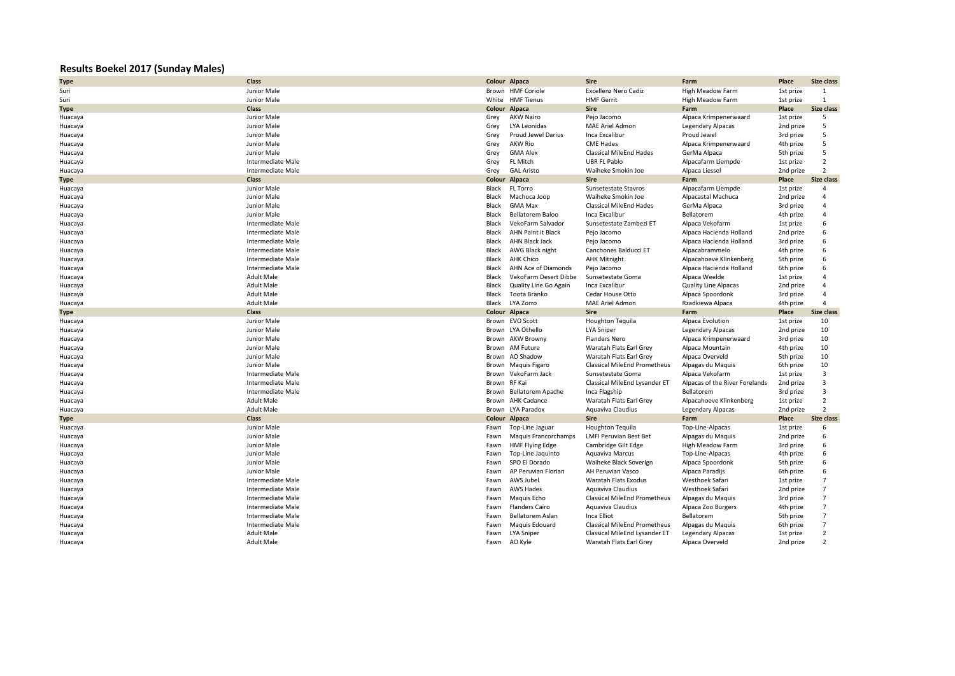## **Results Boekel 2017 (Sunday Males)**

| <b>Type</b> | Class                    |              | Colour Alpaca                | <b>Sire</b>                         | Farm                           | Place     | Size class        |
|-------------|--------------------------|--------------|------------------------------|-------------------------------------|--------------------------------|-----------|-------------------|
| Suri        | Junior Male              |              | Brown HMF Coriole            | <b>Excellenz Nero Cadiz</b>         | <b>High Meadow Farm</b>        | 1st prize | 1                 |
| Suri        | Junior Male              |              | White HMF Tienus             | <b>HMF Gerrit</b>                   | High Meadow Farm               | 1st prize | 1                 |
| <b>Type</b> | Class                    |              | Colour Alpaca                | <b>Sire</b>                         | Farm                           | Place     | <b>Size class</b> |
| Huacaya     | Junior Male              | Grey         | <b>AKW Nairo</b>             | Pejo Jacomo                         | Alpaca Krimpenerwaard          | 1st prize | 5                 |
| Huacaya     | Junior Male              | Grey         | LYA Leonidas                 | MAE Ariel Admon                     | <b>Legendary Alpacas</b>       | 2nd prize | 5                 |
| Huacaya     | Junior Male              | Grey         | Proud Jewel Darius           | Inca Excalibur                      | Proud Jewel                    | 3rd prize | 5                 |
| Huacaya     | Junior Male              | Grey         | <b>AKW Rio</b>               | <b>CME Hades</b>                    | Alpaca Krimpenerwaard          | 4th prize | 5                 |
| Huacaya     | Junior Male              | Grey         | <b>GMA Alex</b>              | <b>Classical MileEnd Hades</b>      | GerMa Alpaca                   | 5th prize | 5                 |
| Huacaya     | Intermediate Male        | Grey         | FL Mitch                     | <b>UBR FL Pablo</b>                 | Alpacafarm Liempde             | 1st prize | $\overline{2}$    |
| Huacaya     | Intermediate Male        | Grey         | <b>GAL Aristo</b>            | Waiheke Smokin Joe                  | Alpaca Liessel                 | 2nd prize | $\overline{2}$    |
| Type        | Class                    |              | Colour Alpaca                | <b>Sire</b>                         | Farm                           | Place     | <b>Size class</b> |
| Huacaya     | Junior Male              | Black        | FL Torro                     | Sunsetestate Stavros                | Alpacafarm Liempde             | 1st prize | 4                 |
| Huacaya     | Junior Male              | Black        | Machuca Joop                 | Waiheke Smokin Joe                  | Alpacastal Machuca             | 2nd prize | $\overline{4}$    |
| Huacaya     | Junior Male              | Black        | <b>GMA Max</b>               | Classical MileEnd Hades             | GerMa Alpaca                   | 3rd prize | $\overline{4}$    |
| Huacaya     | Junior Male              | Black        | Bellatorem Baloo             | Inca Excalibur                      | Bellatorem                     | 4th prize | $\overline{4}$    |
| Huacaya     | <b>Intermediate Male</b> | Black        | VekoFarm Salvador            | Sunsetestate Zambezi ET             | Alpaca Vekofarm                | 1st prize | 6                 |
| Huacaya     | Intermediate Male        | <b>Black</b> | <b>AHN Paint it Black</b>    | Pejo Jacomo                         | Alpaca Hacienda Holland        | 2nd prize | 6                 |
| Huacaya     | Intermediate Male        | Black        | AHN Black Jack               | Pejo Jacomo                         | Alpaca Hacienda Holland        | 3rd prize | 6                 |
| Huacaya     | Intermediate Male        | Black        | AWG Black night              | Canchones Balducci ET               | Alpacabrammelo                 | 4th prize | 6                 |
| Huacaya     | Intermediate Male        | Black        | <b>AHK Chico</b>             | <b>AHK Mitnight</b>                 | Alpacahoeve Klinkenberg        | 5th prize | 6                 |
| Huacaya     | Intermediate Male        | Black        | AHN Ace of Diamonds          | Pejo Jacomo                         | Alpaca Hacienda Holland        | 6th prize | 6                 |
| Huacaya     | <b>Adult Male</b>        | <b>Black</b> | <b>VekoFarm Desert Dibbe</b> | Sunsetestate Goma                   | Alpaca Weelde                  | 1st prize | $\overline{a}$    |
| Huacaya     | <b>Adult Male</b>        | Black        | Quality Line Go Again        | Inca Excalibur                      | <b>Quality Line Alpacas</b>    | 2nd prize | $\overline{4}$    |
| Huacaya     | <b>Adult Male</b>        | Black        | Toota Branko                 | Cedar House Otto                    | Alpaca Spoordonk               | 3rd prize | $\overline{4}$    |
| Huacaya     | <b>Adult Male</b>        | Black        | LYA Zorro                    | <b>MAE Ariel Admon</b>              | Rzadkiewa Alpaca               | 4th prize | $\overline{4}$    |
| Type        | Class                    |              | Colour Alpaca                | <b>Sire</b>                         | Farm                           | Place     | <b>Size class</b> |
| Huacaya     | Junior Male              |              | Brown EVO Scott              | Houghton Tequila                    | Alpaca Evolution               | 1st prize | 10                |
| Huacaya     | Junior Male              |              | Brown LYA Othello            | <b>LYA Sniper</b>                   | <b>Legendary Alpacas</b>       | 2nd prize | 10                |
| Huacaya     | Junior Male              |              | Brown AKW Browny             | <b>Flanders Nero</b>                | Alpaca Krimpenerwaard          | 3rd prize | 10                |
| Huacaya     | Junior Male              |              | Brown AM Future              | Waratah Flats Earl Grey             | Alpaca Mountain                | 4th prize | 10                |
| Huacaya     | Junior Male              |              | Brown AO Shadow              | Waratah Flats Earl Grey             | Alpaca Overveld                | 5th prize | 10                |
| Huacaya     | Junior Male              |              | Brown Maguis Figaro          | <b>Classical MileEnd Prometheus</b> | Alpagas du Maquis              | 6th prize | 10                |
| Huacaya     | Intermediate Male        |              | Brown VekoFarm Jack          | Sunsetestate Goma                   | Alpaca Vekofarm                | 1st prize | 3                 |
| Huacaya     | Intermediate Male        | Brown        | RF Kai                       | Classical MileEnd Lysander ET       | Alpacas of the River Forelands | 2nd prize | 3                 |
| Huacaya     | Intermediate Male        | Brown        | <b>Bellatorem Apache</b>     | Inca Flagship                       | Bellatorem                     | 3rd prize | 3                 |
| Huacaya     | <b>Adult Male</b>        |              | Brown AHK Cadance            | Waratah Flats Earl Grey             | Alpacahoeve Klinkenberg        | 1st prize | $\overline{2}$    |
| Huacaya     | <b>Adult Male</b>        |              | Brown LYA Paradox            | Aquaviva Claudius                   | <b>Legendary Alpacas</b>       | 2nd prize | $\overline{2}$    |
| <b>Type</b> | Class                    |              | Colour Alpaca                | <b>Sire</b>                         | Farm                           | Place     | <b>Size class</b> |
| Huacaya     | Junior Male              | Fawn         | Top-Line Jaguar              | <b>Houghton Tequila</b>             | Top-Line-Alpacas               | 1st prize | 6                 |
| Huacaya     | Junior Male              | Fawn         | Maguis Francorchamps         | <b>LMFI Peruvian Best Bet</b>       | Alpagas du Maquis              | 2nd prize | 6                 |
| Huacaya     | Junior Male              | Fawn         | HMF Flying Edge              | Cambridge Gilt Edge                 | High Meadow Farm               | 3rd prize | 6                 |
| Huacaya     | Junior Male              | Fawn         | Top-Line Jaquinto            | Aquaviva Marcus                     | Top-Line-Alpacas               | 4th prize | 6                 |
| Huacaya     | Junior Male              | Fawn         | SPO El Dorado                | Waiheke Black Soverign              | Alpaca Spoordonk               | 5th prize | 6                 |
| Huacaya     | Junior Male              | Fawn         | AP Peruvian Florian          | AH Peruvian Vasco                   | Alpaca Paradijs                | 6th prize | 6                 |
| Huacaya     | Intermediate Male        | Fawn         | AWS Jubel                    | Waratah Flats Exodus                | Westhoek Safari                | 1st prize | $\overline{7}$    |
| Huacaya     | Intermediate Male        | Fawn         | <b>AWS Hades</b>             | Aquaviva Claudius                   | Westhoek Safari                | 2nd prize | $\overline{7}$    |
| Huacaya     | <b>Intermediate Male</b> | Fawn         | Maguis Echo                  | <b>Classical MileEnd Prometheus</b> | Alpagas du Maquis              | 3rd prize | $\overline{7}$    |
| Huacaya     | <b>Intermediate Male</b> | Fawn         | Flanders Caïro               | Aquaviva Claudius                   | Alpaca Zoo Burgers             | 4th prize | $\overline{7}$    |
| Huacaya     | Intermediate Male        | Fawn         | Bellatorem Aslan             | Inca Elliot                         | Bellatorem                     | 5th prize | $\overline{7}$    |
| Huacaya     | Intermediate Male        | Fawn         | Maguis Edouard               | Classical MileEnd Prometheus        | Alpagas du Maquis              | 6th prize | $\overline{7}$    |
| Huacaya     | <b>Adult Male</b>        | Fawn         | LYA Sniper                   | Classical MileEnd Lysander ET       | Legendary Alpacas              | 1st prize | $\overline{2}$    |
| Huacaya     | <b>Adult Male</b>        |              | Fawn AO Kyle                 | Waratah Flats Earl Grey             | Alpaca Overveld                | 2nd prize | $\overline{2}$    |